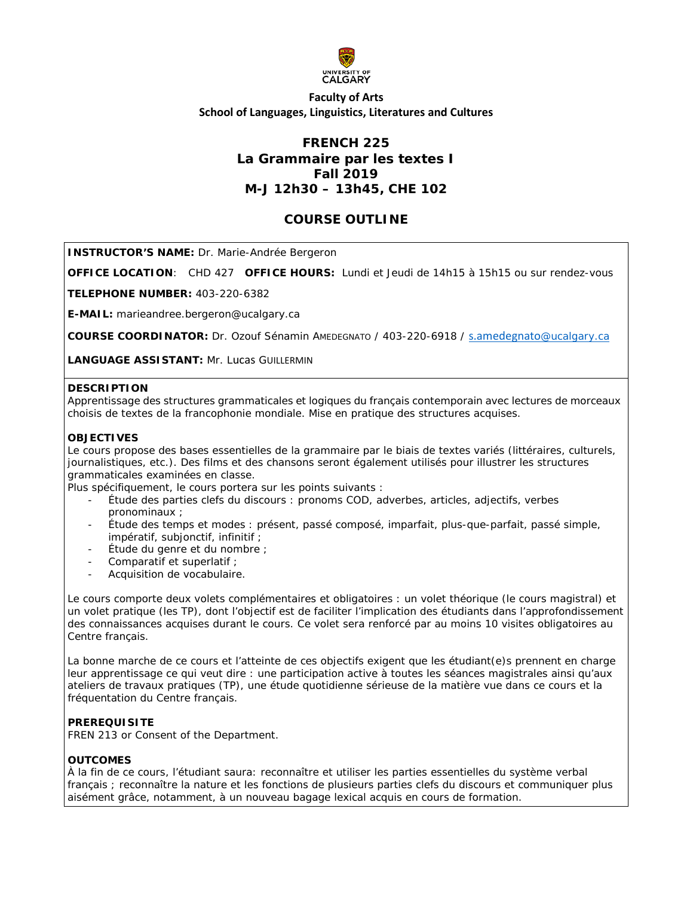

# **Faculty of Arts School of Languages, Linguistics, Literatures and Cultures**

# **FRENCH 225 La Grammaire par les textes I Fall 2019 M-J 12h30 – 13h45, CHE 102**

# **COURSE OUTLINE**

**INSTRUCTOR'S NAME:** Dr. Marie-Andrée Bergeron

**OFFICE LOCATION**: CHD 427 **OFFICE HOURS:** Lundi et Jeudi de 14h15 à 15h15 ou sur rendez-vous

**TELEPHONE NUMBER:** 403-220-6382

**E-MAIL:** marieandree.bergeron@ucalgary.ca

**COURSE COORDINATOR:** Dr. Ozouf Sénamin AMEDEGNATO / 403-220-6918 / [s.amedegnato](mailto:s.amedegnato@ucalgary.ca)@ucalgary.ca

**LANGUAGE ASSISTANT:** Mr. Lucas GUILLERMIN

#### **DESCRIPTION**

Apprentissage des structures grammaticales et logiques du français contemporain avec lectures de morceaux choisis de textes de la francophonie mondiale. Mise en pratique des structures acquises.

#### **OBJECTIVES**

Le cours propose des bases essentielles de la grammaire par le biais de textes variés (littéraires, culturels, journalistiques, etc.). Des films et des chansons seront également utilisés pour illustrer les structures grammaticales examinées en classe.

Plus spécifiquement, le cours portera sur les points suivants :

- Étude des parties clefs du discours : pronoms COD, adverbes, articles, adjectifs, verbes pronominaux ;
- Étude des temps et modes : présent, passé composé, imparfait, plus-que-parfait, passé simple, impératif, subjonctif, infinitif ;
- Étude du genre et du nombre ;
- Comparatif et superlatif ;
- Acquisition de vocabulaire.

Le cours comporte deux volets complémentaires et obligatoires : un volet théorique (le cours magistral) et un volet pratique (les TP), dont l'objectif est de faciliter l'implication des étudiants dans l'approfondissement des connaissances acquises durant le cours. Ce volet sera renforcé par au moins 10 visites obligatoires au Centre français.

La bonne marche de ce cours et l'atteinte de ces objectifs exigent que les étudiant(e)s prennent en charge leur apprentissage ce qui veut dire : une participation active à toutes les séances magistrales ainsi qu'aux ateliers de travaux pratiques (TP), une étude quotidienne sérieuse de la matière vue dans ce cours et la fréquentation du Centre français.

### **PREREQUISITE**

FREN 213 or Consent of the Department.

#### **OUTCOMES**

À la fin de ce cours, l'étudiant saura: reconnaître et utiliser les parties essentielles du système verbal français ; reconnaître la nature et les fonctions de plusieurs parties clefs du discours et communiquer plus aisément grâce, notamment, à un nouveau bagage lexical acquis en cours de formation.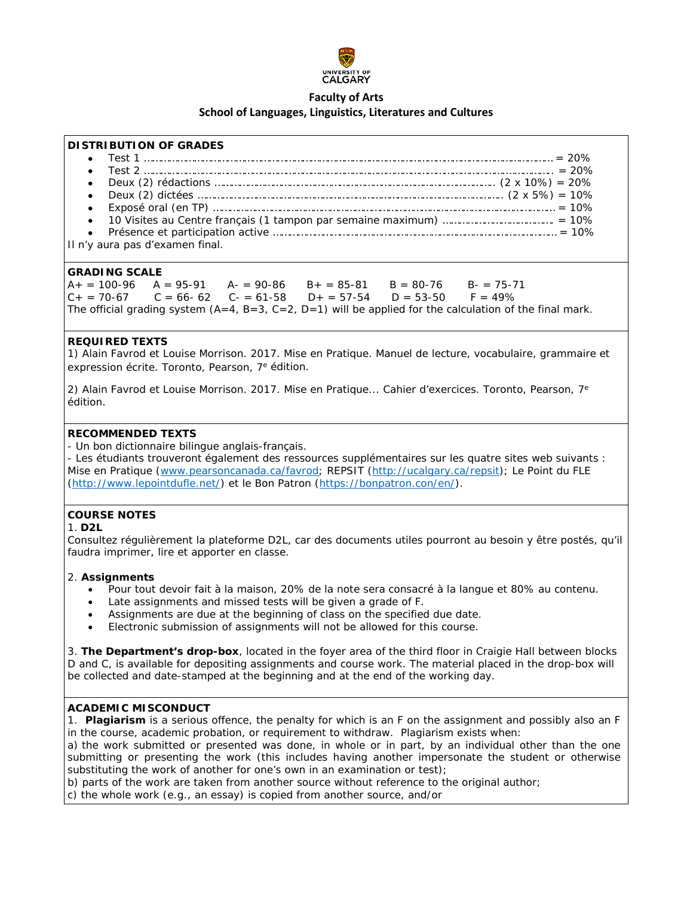

## **Faculty of Arts School of Languages, Linguistics, Literatures and Cultures**

#### **DISTRIBUTION OF GRADES**

• Test 1 ………………………………………………………………………………………………………………………………… = 20% • Test 2 ………………………………………………………………………………………………………………….…………….. = 20% • Deux (2) rédactions ……………………………………………………………………………………….. (2 x 10%) = 20% • Deux (2) dictées ……………………………………………………………………………………………….. (2 x 5%) = 10% • Exposé oral (en TP) …………………………………………………………………………………………………………… = 10% • 10 Visites au Centre français (1 tampon par semaine maximum) …………………………………. = 10% • Présence et participation active ………………………………………………………………………………………… = 10% Il n'y aura pas d'examen final.

**GRADING SCALE**  $A_+ = 100-96$   $A = 95-91$   $A_-= 90-86$   $B_+= 85-81$   $B = 80-76$   $B_-= 75-71$  $C_+ = 70-67$   $C = 66-62$   $C_-= 61-58$   $D_+ = 57-54$   $D = 53-50$   $F = 49\%$ The official grading system  $(A=4, B=3, C=2, D=1)$  will be applied for the calculation of the final mark.

## **REQUIRED TEXTS**

1) Alain Favrod et Louise Morrison. 2017. *Mise en Pratique. Manuel de lecture, vocabulaire, grammaire et expression écrite.* Toronto, Pearson, 7e édition.

2) Alain Favrod et Louise Morrison. 2017. *Mise en Pratique... Cahier d'exercices*. Toronto, Pearson, 7e édition.

### **RECOMMENDED TEXTS**

- Un bon dictionnaire bilingue anglais-français.

- Les étudiants trouveront également des ressources supplémentaires sur les quatre sites web suivants : Mise en Pratique [\(www.pearsoncanada.ca/favrod;](http://www.pearsoncanada.ca/favrod) REPSIT [\(http://ucalgary.ca/repsit\)](http://ucalgary.ca/repsit); Le Point du FLE [\(http://www.lepointdufle.net/\)](http://www.lepointdufle.net/) et le Bon Patron [\(https://bonpatron.con/en/\)](https://bonpatron.con/en/).

## **COURSE NOTES**

#### 1. **D2L**

Consultez régulièrement la plateforme D2L, car des documents utiles pourront au besoin y être postés, qu'il faudra imprimer, lire et apporter en classe.

#### 2. **Assignments**

- Pour tout devoir fait à la maison, 20% de la note sera consacré à la langue et 80% au contenu.
- Late assignments and missed tests will be given a grade of F.
- Assignments are due at the beginning of class on the specified due date.
- Electronic submission of assignments will not be allowed for this course.

3. **The Department's drop-box**, located in the foyer area of the third floor in Craigie Hall between blocks D and C, is available for depositing assignments and course work. The material placed in the drop-box will be collected and date-stamped at the beginning and at the end of the working day.

## **ACADEMIC MISCONDUCT**

1. **Plagiarism** is a serious offence, the penalty for which is an F on the assignment and possibly also an F in the course, academic probation, or requirement to withdraw. Plagiarism exists when:

a) the work submitted or presented was done, in whole or in part, by an individual other than the one submitting or presenting the work (this includes having another impersonate the student or otherwise substituting the work of another for one's own in an examination or test);

b) parts of the work are taken from another source without reference to the original author;

c) the whole work (e.g., an essay) is copied from another source, and/or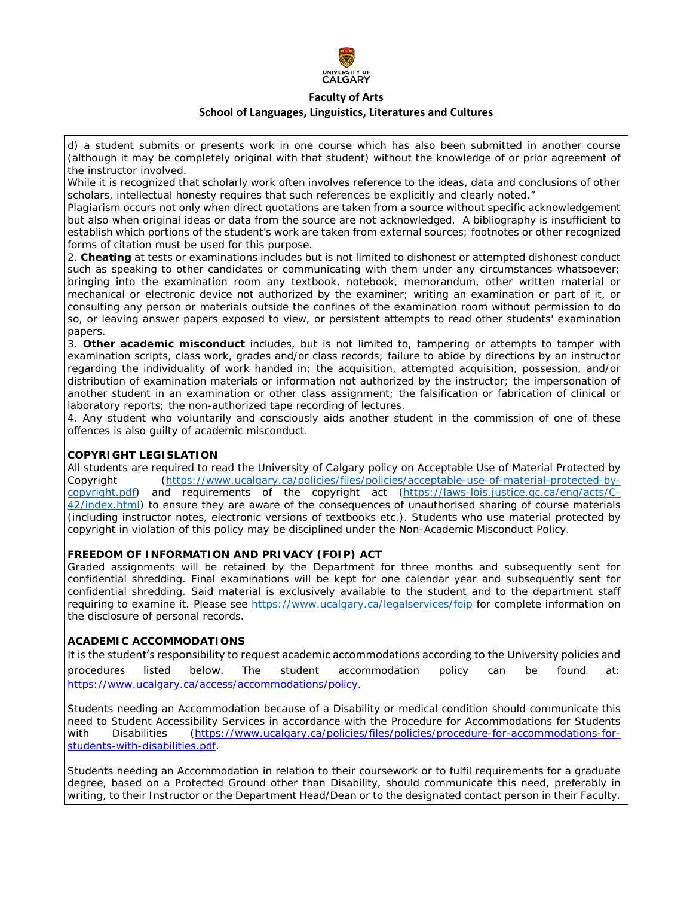

## **Faculty of Arts School of Languages, Linguistics, Literatures and Cultures**

d) a student submits or presents work in one course which has also been submitted in another course (although it may be completely original with that student) without the knowledge of or prior agreement of the instructor involved.

While it is recognized that scholarly work often involves reference to the ideas, data and conclusions of other scholars, intellectual honesty requires that such references be explicitly and clearly noted."

Plagiarism occurs not only when direct quotations are taken from a source without specific acknowledgement but also when original ideas or data from the source are not acknowledged. A bibliography is insufficient to establish which portions of the student's work are taken from external sources; footnotes or other recognized forms of citation must be used for this purpose.

2. **Cheating** at tests or examinations includes but is not limited to dishonest or attempted dishonest conduct such as speaking to other candidates or communicating with them under any circumstances whatsoever; bringing into the examination room any textbook, notebook, memorandum, other written material or mechanical or electronic device not authorized by the examiner; writing an examination or part of it, or consulting any person or materials outside the confines of the examination room without permission to do so, or leaving answer papers exposed to view, or persistent attempts to read other students' examination papers.

3. **Other academic misconduct** includes, but is not limited to, tampering or attempts to tamper with examination scripts, class work, grades and/or class records; failure to abide by directions by an instructor regarding the individuality of work handed in; the acquisition, attempted acquisition, possession, and/or distribution of examination materials or information not authorized by the instructor; the impersonation of another student in an examination or other class assignment; the falsification or fabrication of clinical or laboratory reports; the non-authorized tape recording of lectures.

4. Any student who voluntarily and consciously aids another student in the commission of one of these offences is also guilty of academic misconduct.

## **COPYRIGHT LEGISLATION**

All students are required to read the University of Calgary policy on Acceptable Use of Material Protected by Copyright [\(https://www.ucalgary.ca/policies/files/policies/acceptable-use-of-material-protected-by](https://www.ucalgary.ca/policies/files/policies/acceptable-use-of-material-protected-by-copyright.pdf)[copyright.pdf\)](https://www.ucalgary.ca/policies/files/policies/acceptable-use-of-material-protected-by-copyright.pdf) and requirements of the copyright act [\(https://laws-lois.justice.gc.ca/eng/acts/C-](https://laws-lois.justice.gc.ca/eng/acts/C-42/index.html)[42/index.html\)](https://laws-lois.justice.gc.ca/eng/acts/C-42/index.html) to ensure they are aware of the consequences of unauthorised sharing of course materials (including instructor notes, electronic versions of textbooks etc.). Students who use material protected by copyright in violation of this policy may be disciplined under the Non-Academic Misconduct Policy.

## **FREEDOM OF INFORMATION AND PRIVACY (FOIP) ACT**

Graded assignments will be retained by the Department for three months and subsequently sent for confidential shredding. Final examinations will be kept for one calendar year and subsequently sent for confidential shredding. Said material is exclusively available to the student and to the department staff requiring to examine it. Please see<https://www.ucalgary.ca/legalservices/foip> for complete information on the disclosure of personal records.

## **ACADEMIC ACCOMMODATIONS**

It is the student's responsibility to request academic accommodations according to the University policies and procedures listed below. The student accommodation policy can be found at: [https://www.ucalgary.ca/access/accommodations/policy.](https://www.ucalgary.ca/access/accommodations/policy)

Students needing an Accommodation because of a Disability or medical condition should communicate this need to Student Accessibility Services in accordance with the Procedure for Accommodations for Students with Disabilities [\(https://www.ucalgary.ca/policies/files/policies/procedure-for-accommodations-for](https://www.ucalgary.ca/policies/files/policies/procedure-for-accommodations-for-students-with-disabilities.pdf)[students-with-disabilities.pdf.](https://www.ucalgary.ca/policies/files/policies/procedure-for-accommodations-for-students-with-disabilities.pdf)

Students needing an Accommodation in relation to their coursework or to fulfil requirements for a graduate degree, based on a Protected Ground other than Disability, should communicate this need, preferably in writing, to their Instructor or the Department Head/Dean or to the designated contact person in their Faculty.